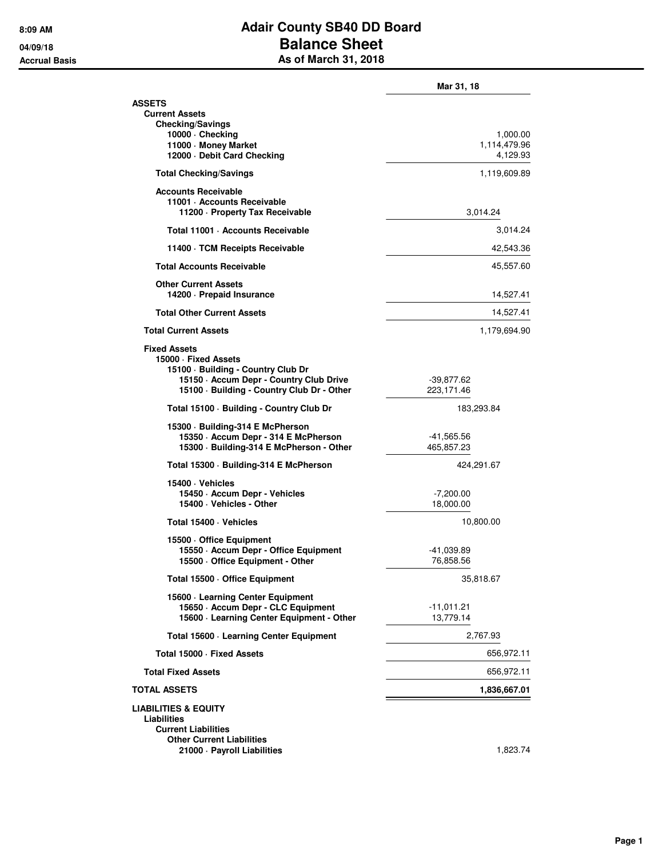## **8:09 AM Adair County SB40 DD Board 04/09/18 Balance Sheet Accrual Basis As of March 31, 2018**

|                                                                                                                                                                            | Mar 31, 18                           |
|----------------------------------------------------------------------------------------------------------------------------------------------------------------------------|--------------------------------------|
| <b>ASSETS</b><br><b>Current Assets</b>                                                                                                                                     |                                      |
| <b>Checking/Savings</b><br>10000 · Checking<br>11000 · Money Market<br>12000 - Debit Card Checking                                                                         | 1,000.00<br>1,114,479.96<br>4,129.93 |
| <b>Total Checking/Savings</b>                                                                                                                                              | 1,119,609.89                         |
| <b>Accounts Receivable</b><br>11001 - Accounts Receivable<br>11200 - Property Tax Receivable                                                                               | 3,014.24                             |
| Total 11001 · Accounts Receivable                                                                                                                                          | 3,014.24                             |
| 11400 · TCM Receipts Receivable                                                                                                                                            | 42,543.36                            |
| <b>Total Accounts Receivable</b>                                                                                                                                           | 45,557.60                            |
| <b>Other Current Assets</b><br>14200 - Prepaid Insurance                                                                                                                   | 14,527.41                            |
| <b>Total Other Current Assets</b>                                                                                                                                          | 14,527.41                            |
| <b>Total Current Assets</b>                                                                                                                                                | 1,179,694.90                         |
| <b>Fixed Assets</b><br>15000 · Fixed Assets<br>15100 · Building - Country Club Dr<br>15150 - Accum Depr - Country Club Drive<br>15100 · Building - Country Club Dr - Other | -39,877.62<br>223,171.46             |
| Total 15100 · Building - Country Club Dr                                                                                                                                   | 183,293.84                           |
| 15300 · Building-314 E McPherson<br>15350 - Accum Depr - 314 E McPherson<br>15300 · Building-314 E McPherson - Other                                                       | -41,565.56<br>465,857.23             |
| Total 15300 · Building-314 E McPherson                                                                                                                                     | 424,291.67                           |
| 15400 · Vehicles<br>15450 · Accum Depr - Vehicles<br>15400 · Vehicles - Other                                                                                              | $-7,200.00$<br>18,000.00             |
| Total 15400 · Vehicles                                                                                                                                                     | 10,800.00                            |
| 15500 Office Equipment<br>15550 · Accum Depr - Office Equipment<br>15500 Office Equipment - Other                                                                          | -41,039.89<br>76,858.56              |
| Total 15500 · Office Equipment                                                                                                                                             | 35,818.67                            |
| 15600 · Learning Center Equipment<br>15650 - Accum Depr - CLC Equipment<br>15600 · Learning Center Equipment - Other                                                       | -11,011.21<br>13,779.14              |
| Total 15600 · Learning Center Equipment                                                                                                                                    | 2.767.93                             |
| Total 15000 · Fixed Assets                                                                                                                                                 | 656,972.11                           |
| <b>Total Fixed Assets</b>                                                                                                                                                  | 656,972.11                           |
| <b>TOTAL ASSETS</b>                                                                                                                                                        | 1,836,667.01                         |
| <b>LIABILITIES &amp; EQUITY</b><br>Liabilities<br><b>Current Liabilities</b><br><b>Other Current Liabilities</b>                                                           |                                      |
| 21000 · Payroll Liabilities                                                                                                                                                | 1,823.74                             |